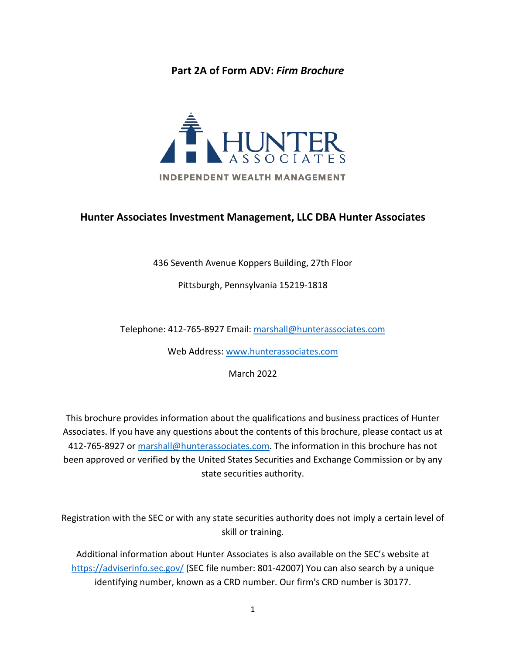# **Part 2A of Form ADV:** *Firm Brochure*



# **Hunter Associates Investment Management, LLC DBA Hunter Associates**

436 Seventh Avenue Koppers Building, 27th Floor

Pittsburgh, Pennsylvania 15219-1818

Telephone: 412-765-8927 Email: [marshall@hunterassociates.com](mailto:marshall@hunterassociates.com)

Web Address: [www.hunterassociates.com](http://www.hunterassociates.com/)

March 2022

This brochure provides information about the qualifications and business practices of Hunter Associates. If you have any questions about the contents of this brochure, please contact us at 412-765-8927 or [marshall@hunterassociates.com. T](mailto:marshall@hunterassociates.com)he information in this brochure has not been approved or verified by the United States Securities and Exchange Commission or by any state securities authority.

Registration with the SEC or with any state securities authority does not imply a certain level of skill or training.

Additional information about Hunter Associates is also available on the SEC's website at <https://adviserinfo.sec.gov/> (SEC file number: 801-42007) You can also search by a unique identifying number, known as a CRD number. Our firm's CRD number is 30177.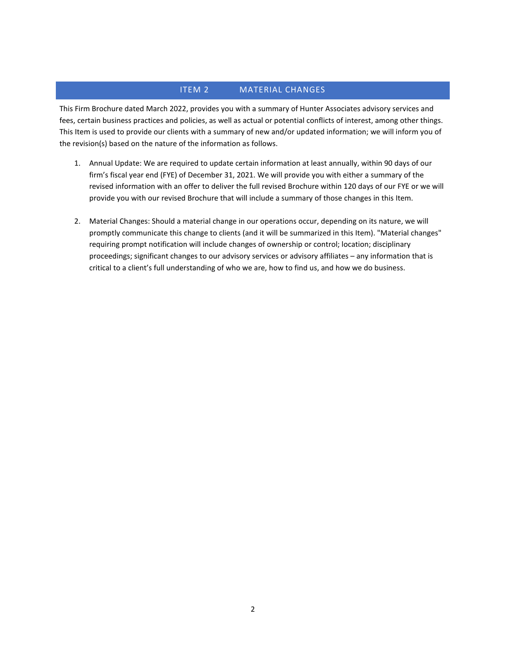# ITEM 2 MATERIAL CHANGES

This Firm Brochure dated March 2022, provides you with a summary of Hunter Associates advisory services and fees, certain business practices and policies, as well as actual or potential conflicts of interest, among other things. This Item is used to provide our clients with a summary of new and/or updated information; we will inform you of the revision(s) based on the nature of the information as follows.

- 1. Annual Update: We are required to update certain information at least annually, within 90 days of our firm's fiscal year end (FYE) of December 31, 2021. We will provide you with either a summary of the revised information with an offer to deliver the full revised Brochure within 120 days of our FYE or we will provide you with our revised Brochure that will include a summary of those changes in this Item.
- 2. Material Changes: Should a material change in our operations occur, depending on its nature, we will promptly communicate this change to clients (and it will be summarized in this Item). "Material changes" requiring prompt notification will include changes of ownership or control; location; disciplinary proceedings; significant changes to our advisory services or advisory affiliates – any information that is critical to a client's full understanding of who we are, how to find us, and how we do business.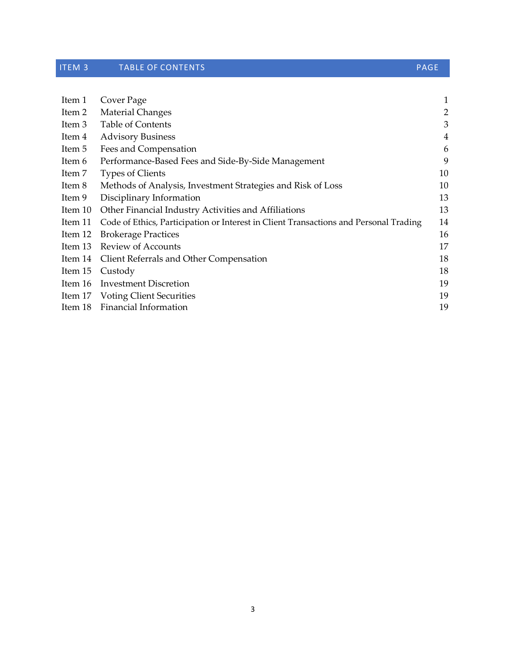# ITEM 3 TABLE OF CONTENTS AND RESIDENCE IN A SERIES AND RESIDENCE IN A SERIES OF CONTENTS

|                                                                                       | 1                                                                                                      |
|---------------------------------------------------------------------------------------|--------------------------------------------------------------------------------------------------------|
| <b>Material Changes</b>                                                               | 2                                                                                                      |
| <b>Table of Contents</b>                                                              | 3                                                                                                      |
| <b>Advisory Business</b>                                                              | 4                                                                                                      |
| Fees and Compensation                                                                 | 6                                                                                                      |
| Performance-Based Fees and Side-By-Side Management                                    | 9                                                                                                      |
| <b>Types of Clients</b>                                                               | 10                                                                                                     |
| Methods of Analysis, Investment Strategies and Risk of Loss                           | 10                                                                                                     |
| Disciplinary Information                                                              | 13                                                                                                     |
| Other Financial Industry Activities and Affiliations                                  | 13                                                                                                     |
| Code of Ethics, Participation or Interest in Client Transactions and Personal Trading | 14                                                                                                     |
| <b>Brokerage Practices</b>                                                            | 16                                                                                                     |
|                                                                                       | 17                                                                                                     |
|                                                                                       | 18                                                                                                     |
| Custody                                                                               | 18                                                                                                     |
| <b>Investment Discretion</b>                                                          | 19                                                                                                     |
| <b>Voting Client Securities</b>                                                       | 19                                                                                                     |
| Financial Information                                                                 | 19                                                                                                     |
|                                                                                       | Cover Page<br>Item 10<br>Item 13 Review of Accounts<br>Item 14 Client Referrals and Other Compensation |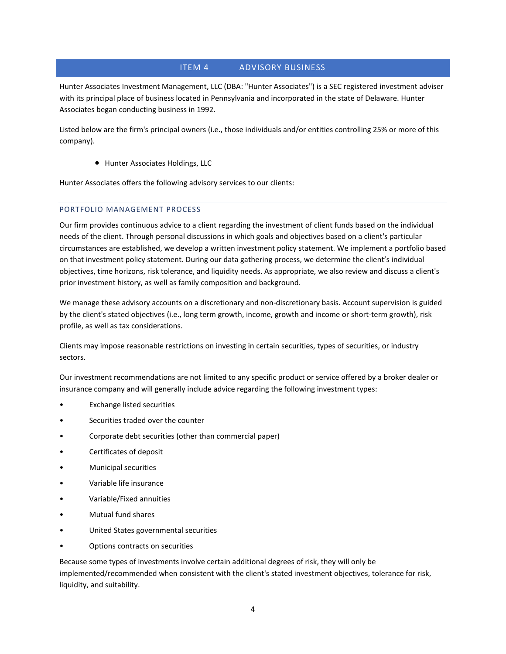# ITEM 4 ADVISORY BUSINESS

Hunter Associates Investment Management, LLC (DBA: "Hunter Associates") is a SEC registered investment adviser with its principal place of business located in Pennsylvania and incorporated in the state of Delaware. Hunter Associates began conducting business in 1992.

Listed below are the firm's principal owners (i.e., those individuals and/or entities controlling 25% or more of this company).

• Hunter Associates Holdings, LLC

Hunter Associates offers the following advisory services to our clients:

# PORTFOLIO MANAGEMENT PROCESS

Our firm provides continuous advice to a client regarding the investment of client funds based on the individual needs of the client. Through personal discussions in which goals and objectives based on a client's particular circumstances are established, we develop a written investment policy statement. We implement a portfolio based on that investment policy statement. During our data gathering process, we determine the client's individual objectives, time horizons, risk tolerance, and liquidity needs. As appropriate, we also review and discuss a client's prior investment history, as well as family composition and background.

We manage these advisory accounts on a discretionary and non-discretionary basis. Account supervision is guided by the client's stated objectives (i.e., long term growth, income, growth and income or short-term growth), risk profile, as well as tax considerations.

Clients may impose reasonable restrictions on investing in certain securities, types of securities, or industry sectors.

Our investment recommendations are not limited to any specific product or service offered by a broker dealer or insurance company and will generally include advice regarding the following investment types:

- Exchange listed securities
- Securities traded over the counter
- Corporate debt securities (other than commercial paper)
- Certificates of deposit
- Municipal securities
- Variable life insurance
- Variable/Fixed annuities
- Mutual fund shares
- United States governmental securities
- Options contracts on securities

Because some types of investments involve certain additional degrees of risk, they will only be implemented/recommended when consistent with the client's stated investment objectives, tolerance for risk, liquidity, and suitability.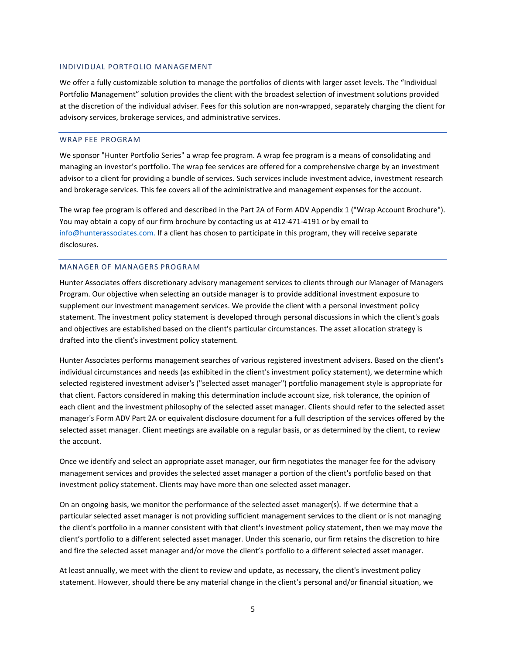#### INDIVIDUAL PORTFOLIO MANAGEMENT

We offer a fully customizable solution to manage the portfolios of clients with larger asset levels. The "Individual Portfolio Management" solution provides the client with the broadest selection of investment solutions provided at the discretion of the individual adviser. Fees for this solution are non-wrapped, separately charging the client for advisory services, brokerage services, and administrative services.

#### WRAP FEE PROGRAM

We sponsor "Hunter Portfolio Series" a wrap fee program. A wrap fee program is a means of consolidating and managing an investor's portfolio. The wrap fee services are offered for a comprehensive charge by an investment advisor to a client for providing a bundle of services. Such services include investment advice, investment research and brokerage services. This fee covers all of the administrative and management expenses for the account.

The wrap fee program is offered and described in the Part 2A of Form ADV Appendix 1 ("Wrap Account Brochure"). You may obtain a copy of our firm brochure by contacting us at 412-471-4191 or by email to [info@hunterassociates.com.](mailto:info@hunterassociates.com.) If a client has chosen to participate in this program, they will receive separate disclosures.

#### MANAGER OF MANAGERS PROGRAM

Hunter Associates offers discretionary advisory management services to clients through our Manager of Managers Program. Our objective when selecting an outside manager is to provide additional investment exposure to supplement our investment management services. We provide the client with a personal investment policy statement. The investment policy statement is developed through personal discussions in which the client's goals and objectives are established based on the client's particular circumstances. The asset allocation strategy is drafted into the client's investment policy statement.

Hunter Associates performs management searches of various registered investment advisers. Based on the client's individual circumstances and needs (as exhibited in the client's investment policy statement), we determine which selected registered investment adviser's ("selected asset manager") portfolio management style is appropriate for that client. Factors considered in making this determination include account size, risk tolerance, the opinion of each client and the investment philosophy of the selected asset manager. Clients should refer to the selected asset manager's Form ADV Part 2A or equivalent disclosure document for a full description of the services offered by the selected asset manager. Client meetings are available on a regular basis, or as determined by the client, to review the account.

Once we identify and select an appropriate asset manager, our firm negotiates the manager fee for the advisory management services and provides the selected asset manager a portion of the client's portfolio based on that investment policy statement. Clients may have more than one selected asset manager.

On an ongoing basis, we monitor the performance of the selected asset manager(s). If we determine that a particular selected asset manager is not providing sufficient management services to the client or is not managing the client's portfolio in a manner consistent with that client's investment policy statement, then we may move the client's portfolio to a different selected asset manager. Under this scenario, our firm retains the discretion to hire and fire the selected asset manager and/or move the client's portfolio to a different selected asset manager.

At least annually, we meet with the client to review and update, as necessary, the client's investment policy statement. However, should there be any material change in the client's personal and/or financial situation, we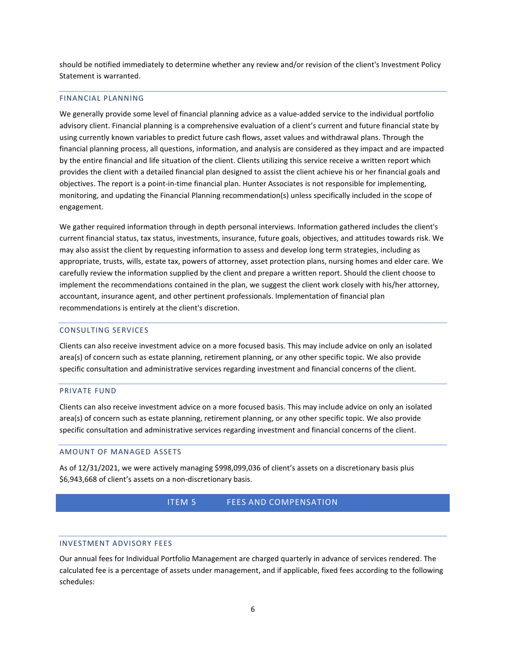should be notified immediately to determine whether any review and/or revision of the client's Investment Policy Statement is warranted.

# FINANCIAL PLANNING

We generally provide some level of financial planning advice as a value-added service to the individual portfolio advisory client. Financial planning is a comprehensive evaluation of a client's current and future financial state by using currently known variables to predict future cash flows, asset values and withdrawal plans. Through the financial planning process, all questions, information, and analysis are considered as they impact and are impacted by the entire financial and life situation of the client. Clients utilizing this service receive a written report which provides the client with a detailed financial plan designed to assist the client achieve his or her financial goals and objectives. The report is a point-in-time financial plan. Hunter Associates is not responsible for implementing, monitoring, and updating the Financial Planning recommendation(s) unless specifically included in the scope of engagement.

We gather required information through in depth personal interviews. Information gathered includes the client's current financial status, tax status, investments, insurance, future goals, objectives, and attitudes towards risk. We may also assist the client by requesting information to assess and develop long term strategies, including as appropriate, trusts, wills, estate tax, powers of attorney, asset protection plans, nursing homes and elder care. We carefully review the information supplied by the client and prepare a written report. Should the client choose to implement the recommendations contained in the plan, we suggest the client work closely with his/her attorney, accountant, insurance agent, and other pertinent professionals. Implementation of financial plan recommendations is entirely at the client's discretion.

# CONSULTING SERVICES

Clients can also receive investment advice on a more focused basis. This may include advice on only an isolated area(s) of concern such as estate planning, retirement planning, or any other specific topic. We also provide specific consultation and administrative services regarding investment and financial concerns of the client.

# PRIVATE FUND

Clients can also receive investment advice on a more focused basis. This may include advice on only an isolated area(s) of concern such as estate planning, retirement planning, or any other specific topic. We also provide specific consultation and administrative services regarding investment and financial concerns of the client.

# AMOUNT OF MANAGED ASSETS

As of 12/31/2021, we were actively managing \$998,099,036 of client's assets on a discretionary basis plus \$6,943,668 of client's assets on a non-discretionary basis.

# ITEM 5 FEES AND COMPENSATION

#### INVESTMENT ADVISORY FEES

Our annual fees for Individual Portfolio Management are charged quarterly in advance of services rendered. The calculated fee is a percentage of assets under management, and if applicable, fixed fees according to the following schedules: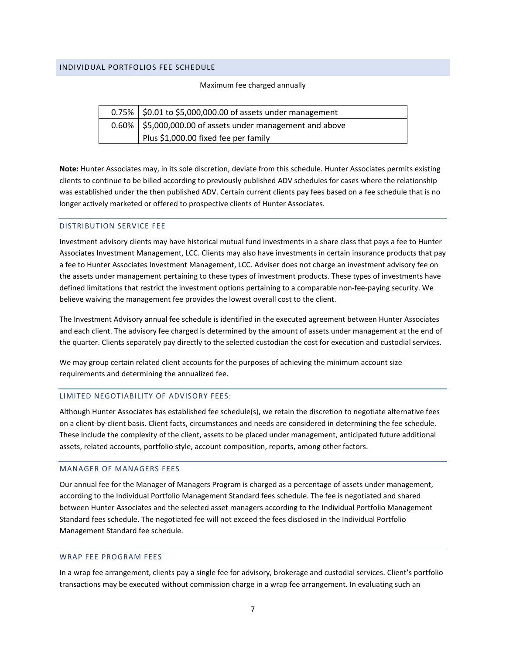## INDIVIDUAL PORTFOLIOS FEE SCHEDULE

#### Maximum fee charged annually

| $0.75\%$   \$0.01 to \$5,000,000.00 of assets under management |
|----------------------------------------------------------------|
| $0.60\%$ \$5,000,000.00 of assets under management and above   |
| Plus \$1,000.00 fixed fee per family                           |

**Note:** Hunter Associates may, in its sole discretion, deviate from this schedule. Hunter Associates permits existing clients to continue to be billed according to previously published ADV schedules for cases where the relationship was established under the then published ADV. Certain current clients pay fees based on a fee schedule that is no longer actively marketed or offered to prospective clients of Hunter Associates.

#### DISTRIBUTION SERVICE FEE

Investment advisory clients may have historical mutual fund investments in a share class that pays a fee to Hunter Associates Investment Management, LCC. Clients may also have investments in certain insurance products that pay a fee to Hunter Associates Investment Management, LCC. Adviser does not charge an investment advisory fee on the assets under management pertaining to these types of investment products. These types of investments have defined limitations that restrict the investment options pertaining to a comparable non-fee-paying security. We believe waiving the management fee provides the lowest overall cost to the client.

The Investment Advisory annual fee schedule is identified in the executed agreement between Hunter Associates and each client. The advisory fee charged is determined by the amount of assets under management at the end of the quarter. Clients separately pay directly to the selected custodian the cost for execution and custodial services.

We may group certain related client accounts for the purposes of achieving the minimum account size requirements and determining the annualized fee.

#### LIMITED NEGOTIABILITY OF ADVISORY FEES:

Although Hunter Associates has established fee schedule(s), we retain the discretion to negotiate alternative fees on a client-by-client basis. Client facts, circumstances and needs are considered in determining the fee schedule. These include the complexity of the client, assets to be placed under management, anticipated future additional assets, related accounts, portfolio style, account composition, reports, among other factors.

#### MANAGER OF MANAGERS FEES

Our annual fee for the Manager of Managers Program is charged as a percentage of assets under management, according to the Individual Portfolio Management Standard fees schedule. The fee is negotiated and shared between Hunter Associates and the selected asset managers according to the Individual Portfolio Management Standard fees schedule. The negotiated fee will not exceed the fees disclosed in the Individual Portfolio Management Standard fee schedule.

#### WRAP FEE PROGRAM FEES

In a wrap fee arrangement, clients pay a single fee for advisory, brokerage and custodial services. Client's portfolio transactions may be executed without commission charge in a wrap fee arrangement. In evaluating such an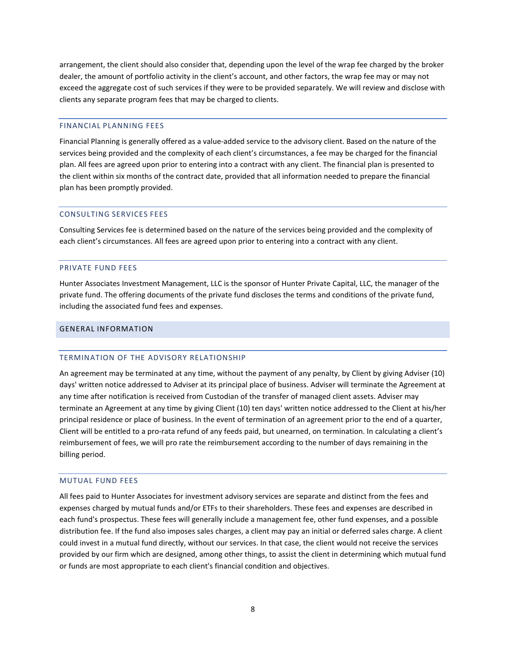arrangement, the client should also consider that, depending upon the level of the wrap fee charged by the broker dealer, the amount of portfolio activity in the client's account, and other factors, the wrap fee may or may not exceed the aggregate cost of such services if they were to be provided separately. We will review and disclose with clients any separate program fees that may be charged to clients.

#### FINANCIAL PLANNING FEES

Financial Planning is generally offered as a value-added service to the advisory client. Based on the nature of the services being provided and the complexity of each client's circumstances, a fee may be charged for the financial plan. All fees are agreed upon prior to entering into a contract with any client. The financial plan is presented to the client within six months of the contract date, provided that all information needed to prepare the financial plan has been promptly provided.

#### CONSULTING SERVICES FEES

Consulting Services fee is determined based on the nature of the services being provided and the complexity of each client's circumstances. All fees are agreed upon prior to entering into a contract with any client.

#### PRIVATE FUND FEES

Hunter Associates Investment Management, LLC is the sponsor of Hunter Private Capital, LLC, the manager of the private fund. The offering documents of the private fund discloses the terms and conditions of the private fund, including the associated fund fees and expenses.

#### GENERAL INFORMATION

## TERMINATION OF THE ADVISORY RELATIONSHIP

An agreement may be terminated at any time, without the payment of any penalty, by Client by giving Adviser (10) days' written notice addressed to Adviser at its principal place of business. Adviser will terminate the Agreement at any time after notification is received from Custodian of the transfer of managed client assets. Adviser may terminate an Agreement at any time by giving Client (10) ten days' written notice addressed to the Client at his/her principal residence or place of business. In the event of termination of an agreement prior to the end of a quarter, Client will be entitled to a pro-rata refund of any feeds paid, but unearned, on termination. In calculating a client's reimbursement of fees, we will pro rate the reimbursement according to the number of days remaining in the billing period.

#### MUTUAL FUND FEES

All fees paid to Hunter Associates for investment advisory services are separate and distinct from the fees and expenses charged by mutual funds and/or ETFs to their shareholders. These fees and expenses are described in each fund's prospectus. These fees will generally include a management fee, other fund expenses, and a possible distribution fee. If the fund also imposes sales charges, a client may pay an initial or deferred sales charge. A client could invest in a mutual fund directly, without our services. In that case, the client would not receive the services provided by our firm which are designed, among other things, to assist the client in determining which mutual fund or funds are most appropriate to each client's financial condition and objectives.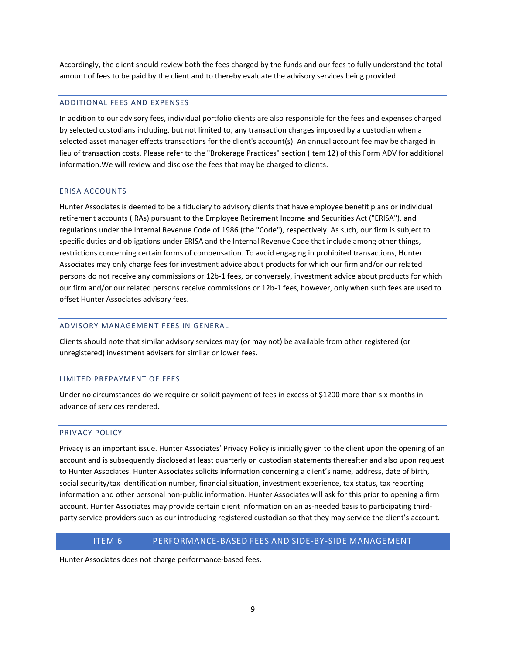Accordingly, the client should review both the fees charged by the funds and our fees to fully understand the total amount of fees to be paid by the client and to thereby evaluate the advisory services being provided.

#### ADDITIONAL FEES AND EXPENSES

In addition to our advisory fees, individual portfolio clients are also responsible for the fees and expenses charged by selected custodians including, but not limited to, any transaction charges imposed by a custodian when a selected asset manager effects transactions for the client's account(s). An annual account fee may be charged in lieu of transaction costs. Please refer to the "Brokerage Practices" section (Item 12) of this Form ADV for additional information.We will review and disclose the fees that may be charged to clients.

#### ERISA ACCOUNTS

Hunter Associates is deemed to be a fiduciary to advisory clients that have employee benefit plans or individual retirement accounts (IRAs) pursuant to the Employee Retirement Income and Securities Act ("ERISA"), and regulations under the Internal Revenue Code of 1986 (the "Code"), respectively. As such, our firm is subject to specific duties and obligations under ERISA and the Internal Revenue Code that include among other things, restrictions concerning certain forms of compensation. To avoid engaging in prohibited transactions, Hunter Associates may only charge fees for investment advice about products for which our firm and/or our related persons do not receive any commissions or 12b-1 fees, or conversely, investment advice about products for which our firm and/or our related persons receive commissions or 12b-1 fees, however, only when such fees are used to offset Hunter Associates advisory fees.

### ADVISORY MANAGEMENT FEES IN GENERAL

Clients should note that similar advisory services may (or may not) be available from other registered (or unregistered) investment advisers for similar or lower fees.

#### LIMITED PREPAYMENT OF FEES

Under no circumstances do we require or solicit payment of fees in excess of \$1200 more than six months in advance of services rendered.

#### PRIVACY POLICY

Privacy is an important issue. Hunter Associates' Privacy Policy is initially given to the client upon the opening of an account and is subsequently disclosed at least quarterly on custodian statements thereafter and also upon request to Hunter Associates. Hunter Associates solicits information concerning a client's name, address, date of birth, social security/tax identification number, financial situation, investment experience, tax status, tax reporting information and other personal non-public information. Hunter Associates will ask for this prior to opening a firm account. Hunter Associates may provide certain client information on an as-needed basis to participating thirdparty service providers such as our introducing registered custodian so that they may service the client's account.

### ITEM 6 PERFORMANCE-BASED FEES AND SIDE-BY-SIDE MANAGEMENT

Hunter Associates does not charge performance-based fees.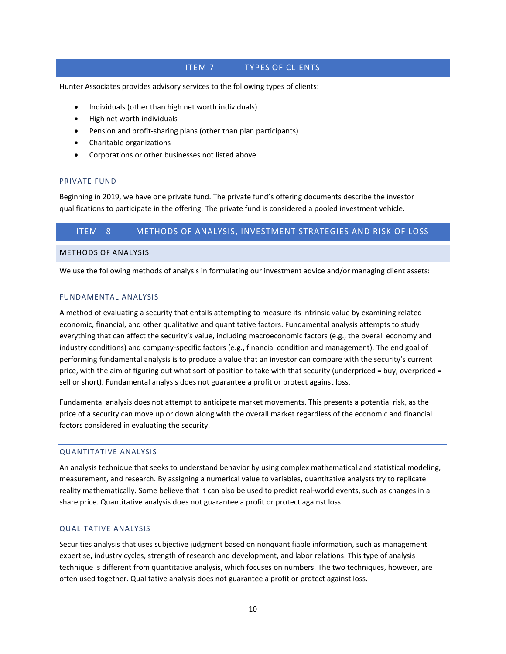# ITEM 7 TYPES OF CLIENTS

Hunter Associates provides advisory services to the following types of clients:

- Individuals (other than high net worth individuals)
- High net worth individuals
- Pension and profit-sharing plans (other than plan participants)
- Charitable organizations
- Corporations or other businesses not listed above

#### PRIVATE FUND

Beginning in 2019, we have one private fund. The private fund's offering documents describe the investor qualifications to participate in the offering. The private fund is considered a pooled investment vehicle.

# ITEM 8 METHODS OF ANALYSIS, INVESTMENT STRATEGIES AND RISK OF LOSS

#### METHODS OF ANALYSIS

We use the following methods of analysis in formulating our investment advice and/or managing client assets:

#### FUNDAMENTAL ANALYSIS

A method of evaluating a security that entails attempting to measure its intrinsic value by examining related economic, financial, and other qualitative and quantitative factors. Fundamental analysis attempts to study everything that can affect the security's value, including macroeconomic factors (e.g., the overall economy and industry conditions) and company-specific factors (e.g., financial condition and management). The end goal of performing fundamental analysis is to produce a value that an investor can compare with the security's current price, with the aim of figuring out what sort of position to take with that security (underpriced = buy, overpriced = sell or short). Fundamental analysis does not guarantee a profit or protect against loss.

Fundamental analysis does not attempt to anticipate market movements. This presents a potential risk, as the price of a security can move up or down along with the overall market regardless of the economic and financial factors considered in evaluating the security.

#### QUANTITATIVE ANALYSIS

An analysis technique that seeks to understand behavior by using complex mathematical and statistical modeling, measurement, and research. By assigning a numerical value to variables, quantitative analysts try to replicate reality mathematically. Some believe that it can also be used to predict real-world events, such as changes in a share price. Quantitative analysis does not guarantee a profit or protect against loss.

#### QUALITATIVE ANALYSIS

Securities analysis that uses subjective judgment based on nonquantifiable information, such as management expertise, industry cycles, strength of research and development, and labor relations. This type of analysis technique is different from quantitative analysis, which focuses on numbers. The two techniques, however, are often used together. Qualitative analysis does not guarantee a profit or protect against loss.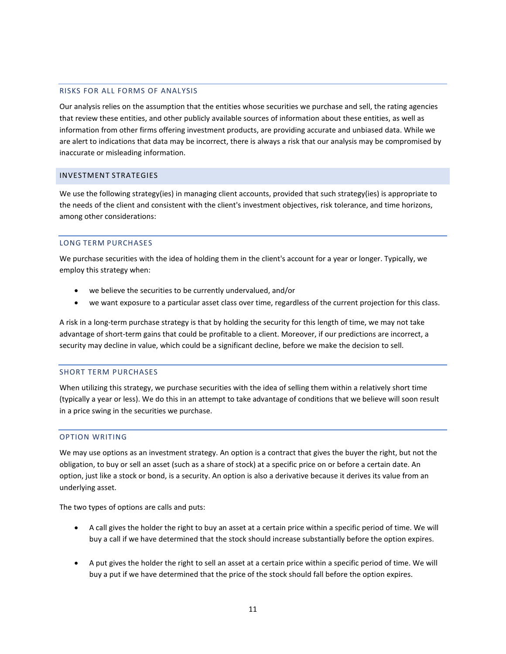# RISKS FOR ALL FORMS OF ANALYSIS

Our analysis relies on the assumption that the entities whose securities we purchase and sell, the rating agencies that review these entities, and other publicly available sources of information about these entities, as well as information from other firms offering investment products, are providing accurate and unbiased data. While we are alert to indications that data may be incorrect, there is always a risk that our analysis may be compromised by inaccurate or misleading information.

# INVESTMENT STRATEGIES

We use the following strategy(ies) in managing client accounts, provided that such strategy(ies) is appropriate to the needs of the client and consistent with the client's investment objectives, risk tolerance, and time horizons, among other considerations:

#### LONG TERM PURCHASES

We purchase securities with the idea of holding them in the client's account for a year or longer. Typically, we employ this strategy when:

- we believe the securities to be currently undervalued, and/or
- we want exposure to a particular asset class over time, regardless of the current projection for this class.

A risk in a long-term purchase strategy is that by holding the security for this length of time, we may not take advantage of short-term gains that could be profitable to a client. Moreover, if our predictions are incorrect, a security may decline in value, which could be a significant decline, before we make the decision to sell.

# SHORT TERM PURCHASES

When utilizing this strategy, we purchase securities with the idea of selling them within a relatively short time (typically a year or less). We do this in an attempt to take advantage of conditions that we believe will soon result in a price swing in the securities we purchase.

#### OPTION WRITING

We may use options as an investment strategy. An option is a contract that gives the buyer the right, but not the obligation, to buy or sell an asset (such as a share of stock) at a specific price on or before a certain date. An option, just like a stock or bond, is a security. An option is also a derivative because it derives its value from an underlying asset.

The two types of options are calls and puts:

- A call gives the holder the right to buy an asset at a certain price within a specific period of time. We will buy a call if we have determined that the stock should increase substantially before the option expires.
- A put gives the holder the right to sell an asset at a certain price within a specific period of time. We will buy a put if we have determined that the price of the stock should fall before the option expires.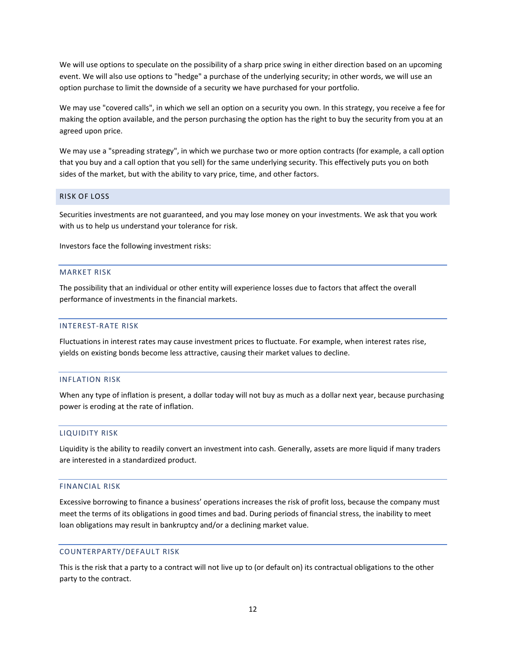We will use options to speculate on the possibility of a sharp price swing in either direction based on an upcoming event. We will also use options to "hedge" a purchase of the underlying security; in other words, we will use an option purchase to limit the downside of a security we have purchased for your portfolio.

We may use "covered calls", in which we sell an option on a security you own. In this strategy, you receive a fee for making the option available, and the person purchasing the option has the right to buy the security from you at an agreed upon price.

We may use a "spreading strategy", in which we purchase two or more option contracts (for example, a call option that you buy and a call option that you sell) for the same underlying security. This effectively puts you on both sides of the market, but with the ability to vary price, time, and other factors.

#### RISK OF LOSS

Securities investments are not guaranteed, and you may lose money on your investments. We ask that you work with us to help us understand your tolerance for risk.

Investors face the following investment risks:

#### MARKET RISK

The possibility that an individual or other entity will experience losses due to factors that affect the overall performance of investments in the [financial markets.](https://www.investopedia.com/terms/f/financial-market.asp)

### INTEREST-RATE RISK

Fluctuations in interest rates may cause investment prices to fluctuate. For example, when interest rates rise, yields on existing bonds become less attractive, causing their market values to decline.

#### INFLATION RISK

When any type of inflation is present, a dollar today will not buy as much as a dollar next year, because purchasing power is eroding at the rate of inflation.

#### LIQUIDITY RISK

Liquidity is the ability to readily convert an investment into cash. Generally, assets are more liquid if many traders are interested in a standardized product.

#### FINANCIAL RISK

Excessive borrowing to finance a business' operations increases the risk of profit loss, because the company must meet the terms of its obligations in good times and bad. During periods of financial stress, the inability to meet loan obligations may result in bankruptcy and/or a declining market value.

#### COUNTERPARTY/DEFAULT RISK

This is the risk that a party to a contract will not live up to (or default on) its contractual obligations to the other party to the contract.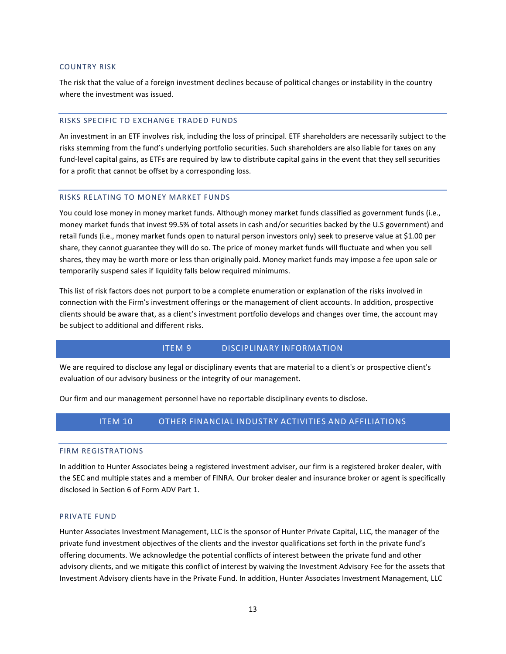#### COUNTRY RISK

The risk that the value of a foreign investment declines because of political changes or instability in the country where the investment was issued.

#### RISKS SPECIFIC TO EXCHANGE TRADED FUNDS

An investment in an ETF involves risk, including the loss of principal. ETF shareholders are necessarily subject to the risks stemming from the fund's underlying portfolio securities. Such shareholders are also liable for taxes on any fund-level capital gains, as ETFs are required by law to distribute capital gains in the event that they sell securities for a profit that cannot be offset by a corresponding loss.

#### RISKS RELATING TO MONEY MARKET FUNDS

You could lose money in money market funds. Although money market funds classified as government funds (i.e., money market funds that invest 99.5% of total assets in cash and/or securities backed by the U.S government) and retail funds (i.e., money market funds open to natural person investors only) seek to preserve value at \$1.00 per share, they cannot guarantee they will do so. The price of money market funds will fluctuate and when you sell shares, they may be worth more or less than originally paid. Money market funds may impose a fee upon sale or temporarily suspend sales if liquidity falls below required minimums.

This list of risk factors does not purport to be a complete enumeration or explanation of the risks involved in connection with the Firm's investment offerings or the management of client accounts. In addition, prospective clients should be aware that, as a client's investment portfolio develops and changes over time, the account may be subject to additional and different risks.

# ITEM 9 DISCIPLINARY INFORMATION

We are required to disclose any legal or disciplinary events that are material to a client's or prospective client's evaluation of our advisory business or the integrity of our management.

Our firm and our management personnel have no reportable disciplinary events to disclose.

# ITEM 10 OTHER FINANCIAL INDUSTRY ACTIVITIES AND AFFILIATIONS

#### FIRM REGISTRATIONS

In addition to Hunter Associates being a registered investment adviser, our firm is a registered broker dealer, with the SEC and multiple states and a member of FINRA. Our broker dealer and insurance broker or agent is specifically disclosed in Section 6 of Form ADV Part 1.

#### PRIVATE FUND

Hunter Associates Investment Management, LLC is the sponsor of Hunter Private Capital, LLC, the manager of the private fund investment objectives of the clients and the investor qualifications set forth in the private fund's offering documents. We acknowledge the potential conflicts of interest between the private fund and other advisory clients, and we mitigate this conflict of interest by waiving the Investment Advisory Fee for the assets that Investment Advisory clients have in the Private Fund. In addition, Hunter Associates Investment Management, LLC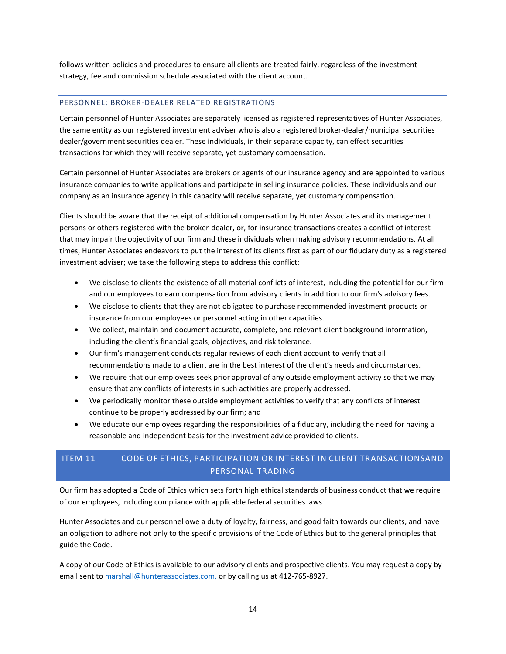follows written policies and procedures to ensure all clients are treated fairly, regardless of the investment strategy, fee and commission schedule associated with the client account.

# PERSONNEL: BROKER-DEALER RELATED REGISTRATIONS

Certain personnel of Hunter Associates are separately licensed as registered representatives of Hunter Associates, the same entity as our registered investment adviser who is also a registered broker-dealer/municipal securities dealer/government securities dealer. These individuals, in their separate capacity, can effect securities transactions for which they will receive separate, yet customary compensation.

Certain personnel of Hunter Associates are brokers or agents of our insurance agency and are appointed to various insurance companies to write applications and participate in selling insurance policies. These individuals and our company as an insurance agency in this capacity will receive separate, yet customary compensation.

Clients should be aware that the receipt of additional compensation by Hunter Associates and its management persons or others registered with the broker-dealer, or, for insurance transactions creates a conflict of interest that may impair the objectivity of our firm and these individuals when making advisory recommendations. At all times, Hunter Associates endeavors to put the interest of its clients first as part of our fiduciary duty as a registered investment adviser; we take the following steps to address this conflict:

- We disclose to clients the existence of all material conflicts of interest, including the potential for our firm and our employees to earn compensation from advisory clients in addition to our firm's advisory fees.
- We disclose to clients that they are not obligated to purchase recommended investment products or insurance from our employees or personnel acting in other capacities.
- We collect, maintain and document accurate, complete, and relevant client background information, including the client's financial goals, objectives, and risk tolerance.
- Our firm's management conducts regular reviews of each client account to verify that all recommendations made to a client are in the best interest of the client's needs and circumstances.
- We require that our employees seek prior approval of any outside employment activity so that we may ensure that any conflicts of interests in such activities are properly addressed.
- We periodically monitor these outside employment activities to verify that any conflicts of interest continue to be properly addressed by our firm; and
- We educate our employees regarding the responsibilities of a fiduciary, including the need for having a reasonable and independent basis for the investment advice provided to clients.

# ITEM 11 CODE OF ETHICS, PARTICIPATION OR INTEREST IN CLIENT TRANSACTIONSAND PERSONAL TRADING

Our firm has adopted a Code of Ethics which sets forth high ethical standards of business conduct that we require of our employees, including compliance with applicable federal securities laws.

Hunter Associates and our personnel owe a duty of loyalty, fairness, and good faith towards our clients, and have an obligation to adhere not only to the specific provisions of the Code of Ethics but to the general principles that guide the Code.

A copy of our Code of Ethics is available to our advisory clients and prospective clients. You may request a copy by email sent to [marshall@hunterassociates.com, o](mailto:marshall@hunterassociates.com,)r by calling us at 412-765-8927.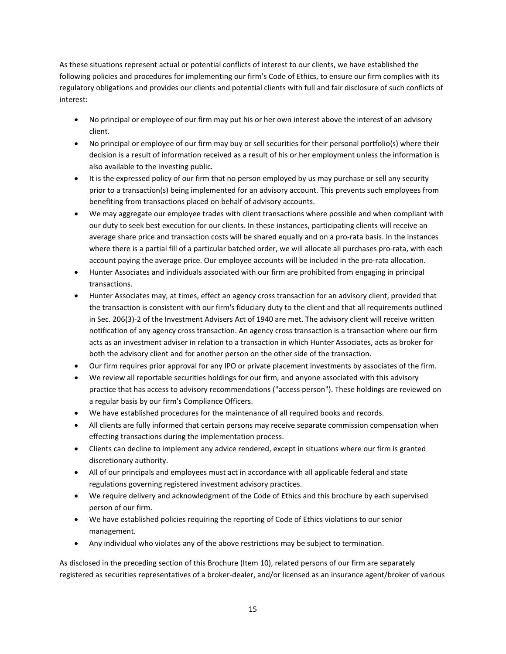As these situations represent actual or potential conflicts of interest to our clients, we have established the following policies and procedures for implementing our firm's Code of Ethics, to ensure our firm complies with its regulatory obligations and provides our clients and potential clients with full and fair disclosure of such conflicts of interest:

- No principal or employee of our firm may put his or her own interest above the interest of an advisory client.
- No principal or employee of our firm may buy or sell securities for their personal portfolio(s) where their decision is a result of information received as a result of his or her employment unless the information is also available to the investing public.
- It is the expressed policy of our firm that no person employed by us may purchase or sell any security prior to a transaction(s) being implemented for an advisory account. This prevents such employees from benefiting from transactions placed on behalf of advisory accounts.
- We may aggregate our employee trades with client transactions where possible and when compliant with our duty to seek best execution for our clients. In these instances, participating clients will receive an average share price and transaction costs will be shared equally and on a pro-rata basis. In the instances where there is a partial fill of a particular batched order, we will allocate all purchases pro-rata, with each account paying the average price. Our employee accounts will be included in the pro-rata allocation.
- Hunter Associates and individuals associated with our firm are prohibited from engaging in principal transactions.
- Hunter Associates may, at times, effect an agency cross transaction for an advisory client, provided that the transaction is consistent with our firm's fiduciary duty to the client and that all requirements outlined in Sec. 206(3)-2 of the Investment Advisers Act of 1940 are met. The advisory client will receive written notification of any agency cross transaction. An agency cross transaction is a transaction where our firm acts as an investment adviser in relation to a transaction in which Hunter Associates, acts as broker for both the advisory client and for another person on the other side of the transaction.
- Our firm requires prior approval for any IPO or private placement investments by associates of the firm.
- We review all reportable securities holdings for our firm, and anyone associated with this advisory practice that has access to advisory recommendations ("access person"). These holdings are reviewed on a regular basis by our firm's Compliance Officers.
- We have established procedures for the maintenance of all required books and records.
- All clients are fully informed that certain persons may receive separate commission compensation when effecting transactions during the implementation process.
- Clients can decline to implement any advice rendered, except in situations where our firm is granted discretionary authority.
- All of our principals and employees must act in accordance with all applicable federal and state regulations governing registered investment advisory practices.
- We require delivery and acknowledgment of the Code of Ethics and this brochure by each supervised person of our firm.
- We have established policies requiring the reporting of Code of Ethics violations to our senior management.
- Any individual who violates any of the above restrictions may be subject to termination.

As disclosed in the preceding section of this Brochure (Item 10), related persons of our firm are separately registered as securities representatives of a broker-dealer, and/or licensed as an insurance agent/broker of various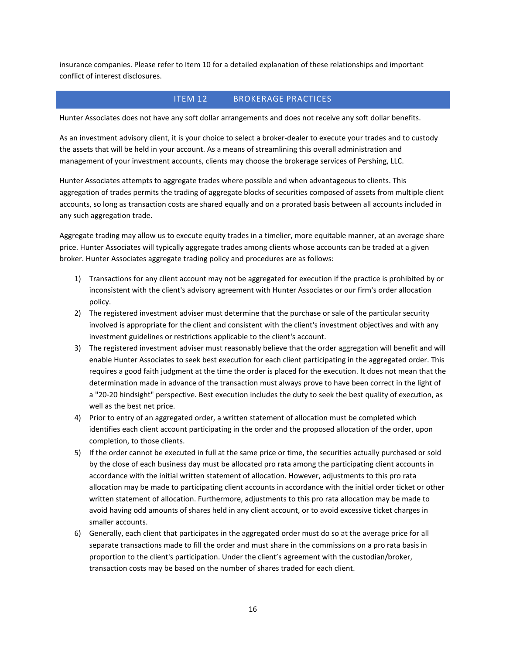insurance companies. Please refer to Item 10 for a detailed explanation of these relationships and important conflict of interest disclosures.

# ITEM 12 BROKERAGE PRACTICES

Hunter Associates does not have any soft dollar arrangements and does not receive any soft dollar benefits.

As an investment advisory client, it is your choice to select a broker-dealer to execute your trades and to custody the assets that will be held in your account. As a means of streamlining this overall administration and management of your investment accounts, clients may choose the brokerage services of Pershing, LLC.

Hunter Associates attempts to aggregate trades where possible and when advantageous to clients. This aggregation of trades permits the trading of aggregate blocks of securities composed of assets from multiple client accounts, so long as transaction costs are shared equally and on a prorated basis between all accounts included in any such aggregation trade.

Aggregate trading may allow us to execute equity trades in a timelier, more equitable manner, at an average share price. Hunter Associates will typically aggregate trades among clients whose accounts can be traded at a given broker. Hunter Associates aggregate trading policy and procedures are as follows:

- 1) Transactions for any client account may not be aggregated for execution if the practice is prohibited by or inconsistent with the client's advisory agreement with Hunter Associates or our firm's order allocation policy.
- 2) The registered investment adviser must determine that the purchase or sale of the particular security involved is appropriate for the client and consistent with the client's investment objectives and with any investment guidelines or restrictions applicable to the client's account.
- 3) The registered investment adviser must reasonably believe that the order aggregation will benefit and will enable Hunter Associates to seek best execution for each client participating in the aggregated order. This requires a good faith judgment at the time the order is placed for the execution. It does not mean that the determination made in advance of the transaction must always prove to have been correct in the light of a "20-20 hindsight" perspective. Best execution includes the duty to seek the best quality of execution, as well as the best net price.
- 4) Prior to entry of an aggregated order, a written statement of allocation must be completed which identifies each client account participating in the order and the proposed allocation of the order, upon completion, to those clients.
- 5) If the order cannot be executed in full at the same price or time, the securities actually purchased or sold by the close of each business day must be allocated pro rata among the participating client accounts in accordance with the initial written statement of allocation. However, adjustments to this pro rata allocation may be made to participating client accounts in accordance with the initial order ticket or other written statement of allocation. Furthermore, adjustments to this pro rata allocation may be made to avoid having odd amounts of shares held in any client account, or to avoid excessive ticket charges in smaller accounts.
- 6) Generally, each client that participates in the aggregated order must do so at the average price for all separate transactions made to fill the order and must share in the commissions on a pro rata basis in proportion to the client's participation. Under the client's agreement with the custodian/broker, transaction costs may be based on the number of shares traded for each client.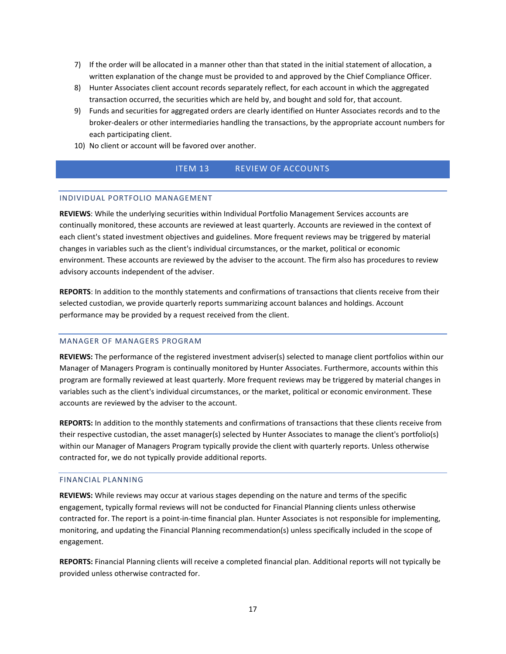- 7) If the order will be allocated in a manner other than that stated in the initial statement of allocation, a written explanation of the change must be provided to and approved by the Chief Compliance Officer.
- 8) Hunter Associates client account records separately reflect, for each account in which the aggregated transaction occurred, the securities which are held by, and bought and sold for, that account.
- 9) Funds and securities for aggregated orders are clearly identified on Hunter Associates records and to the broker-dealers or other intermediaries handling the transactions, by the appropriate account numbers for each participating client.
- 10) No client or account will be favored over another.

# ITEM 13 REVIEW OF ACCOUNTS

#### INDIVIDUAL PORTFOLIO MANAGEMENT

**REVIEWS**: While the underlying securities within Individual Portfolio Management Services accounts are continually monitored, these accounts are reviewed at least quarterly. Accounts are reviewed in the context of each client's stated investment objectives and guidelines. More frequent reviews may be triggered by material changes in variables such as the client's individual circumstances, or the market, political or economic environment. These accounts are reviewed by the adviser to the account. The firm also has procedures to review advisory accounts independent of the adviser.

**REPORTS**: In addition to the monthly statements and confirmations of transactions that clients receive from their selected custodian, we provide quarterly reports summarizing account balances and holdings. Account performance may be provided by a request received from the client.

# MANAGER OF MANAGERS PROGRAM

**REVIEWS:** The performance of the registered investment adviser(s) selected to manage client portfolios within our Manager of Managers Program is continually monitored by Hunter Associates. Furthermore, accounts within this program are formally reviewed at least quarterly. More frequent reviews may be triggered by material changes in variables such as the client's individual circumstances, or the market, political or economic environment. These accounts are reviewed by the adviser to the account.

**REPORTS:** In addition to the monthly statements and confirmations of transactions that these clients receive from their respective custodian, the asset manager(s) selected by Hunter Associates to manage the client's portfolio(s) within our Manager of Managers Program typically provide the client with quarterly reports. Unless otherwise contracted for, we do not typically provide additional reports.

#### FINANCIAL PLANNING

**REVIEWS:** While reviews may occur at various stages depending on the nature and terms of the specific engagement, typically formal reviews will not be conducted for Financial Planning clients unless otherwise contracted for. The report is a point-in-time financial plan. Hunter Associates is not responsible for implementing, monitoring, and updating the Financial Planning recommendation(s) unless specifically included in the scope of engagement.

**REPORTS:** Financial Planning clients will receive a completed financial plan. Additional reports will not typically be provided unless otherwise contracted for.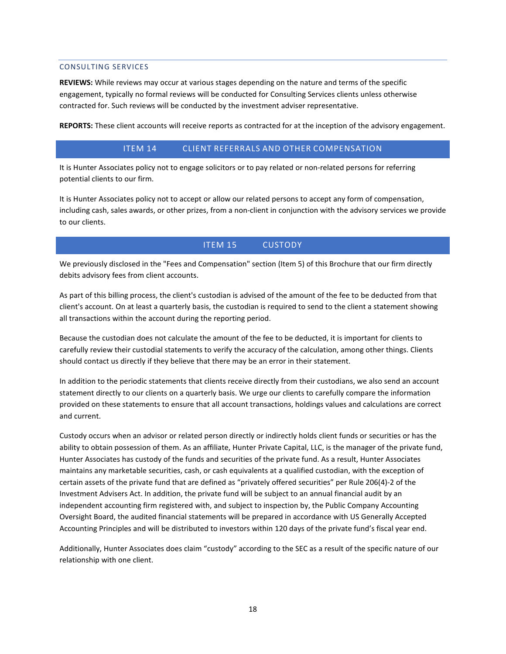#### CONSULTING SERVICES

**REVIEWS:** While reviews may occur at various stages depending on the nature and terms of the specific engagement, typically no formal reviews will be conducted for Consulting Services clients unless otherwise contracted for. Such reviews will be conducted by the investment adviser representative.

**REPORTS:** These client accounts will receive reports as contracted for at the inception of the advisory engagement.

# ITEM 14 CLIENT REFERRALS AND OTHER COMPENSATION

It is Hunter Associates policy not to engage solicitors or to pay related or non-related persons for referring potential clients to our firm.

It is Hunter Associates policy not to accept or allow our related persons to accept any form of compensation, including cash, sales awards, or other prizes, from a non-client in conjunction with the advisory services we provide to our clients.

# ITEM 15 CUSTODY

We previously disclosed in the "Fees and Compensation" section (Item 5) of this Brochure that our firm directly debits advisory fees from client accounts.

As part of this billing process, the client's custodian is advised of the amount of the fee to be deducted from that client's account. On at least a quarterly basis, the custodian is required to send to the client a statement showing all transactions within the account during the reporting period.

Because the custodian does not calculate the amount of the fee to be deducted, it is important for clients to carefully review their custodial statements to verify the accuracy of the calculation, among other things. Clients should contact us directly if they believe that there may be an error in their statement.

In addition to the periodic statements that clients receive directly from their custodians, we also send an account statement directly to our clients on a quarterly basis. We urge our clients to carefully compare the information provided on these statements to ensure that all account transactions, holdings values and calculations are correct and current.

Custody occurs when an advisor or related person directly or indirectly holds client funds or securities or has the ability to obtain possession of them. As an affiliate, Hunter Private Capital, LLC, is the manager of the private fund, Hunter Associates has custody of the funds and securities of the private fund. As a result, Hunter Associates maintains any marketable securities, cash, or cash equivalents at a qualified custodian, with the exception of certain assets of the private fund that are defined as "privately offered securities" per Rule 206(4)-2 of the Investment Advisers Act. In addition, the private fund will be subject to an annual financial audit by an independent accounting firm registered with, and subject to inspection by, the Public Company Accounting Oversight Board, the audited financial statements will be prepared in accordance with US Generally Accepted Accounting Principles and will be distributed to investors within 120 days of the private fund's fiscal year end.

Additionally, Hunter Associates does claim "custody" according to the SEC as a result of the specific nature of our relationship with one client.